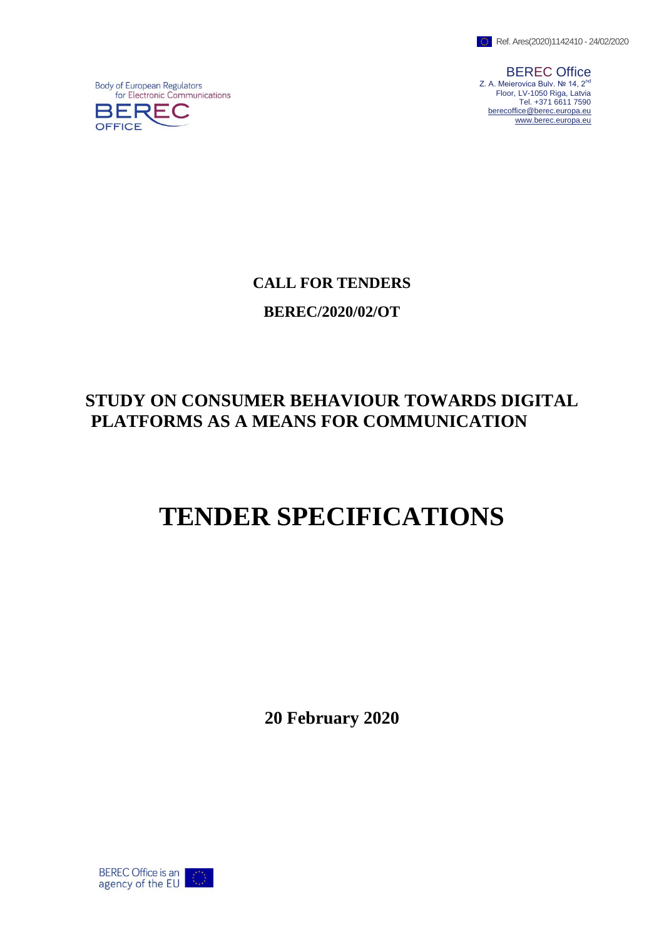

BEREC Office Z. A. Meierovica Bulv. № 14, 2<sup>nd</sup> Floor, LV-1050 Riga, Latvia Tel. +371 6611 7590 [berecoffice@berec.europa.eu](mailto:berecoffice@berec.europa.eu) [www.berec.europa.eu](http://www.berec.europa.eu/)

**Body of European Regulators** for Electronic Communications



**CALL FOR TENDERS BEREC/2020/02/OT**

# **STUDY ON CONSUMER BEHAVIOUR TOWARDS DIGITAL PLATFORMS AS A MEANS FOR COMMUNICATION**

# **TENDER SPECIFICATIONS**

**20 February 2020**

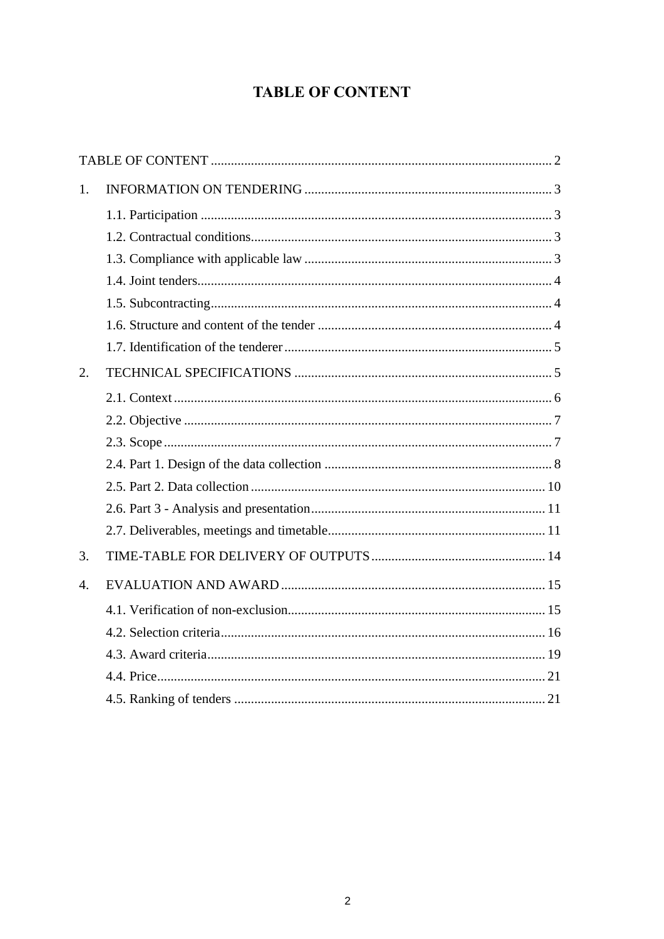# **TABLE OF CONTENT**

<span id="page-1-0"></span>

| 1.               |  |
|------------------|--|
|                  |  |
|                  |  |
|                  |  |
|                  |  |
|                  |  |
|                  |  |
|                  |  |
| 2.               |  |
|                  |  |
|                  |  |
|                  |  |
|                  |  |
|                  |  |
|                  |  |
|                  |  |
| 3.               |  |
| $\overline{4}$ . |  |
|                  |  |
|                  |  |
|                  |  |
|                  |  |
|                  |  |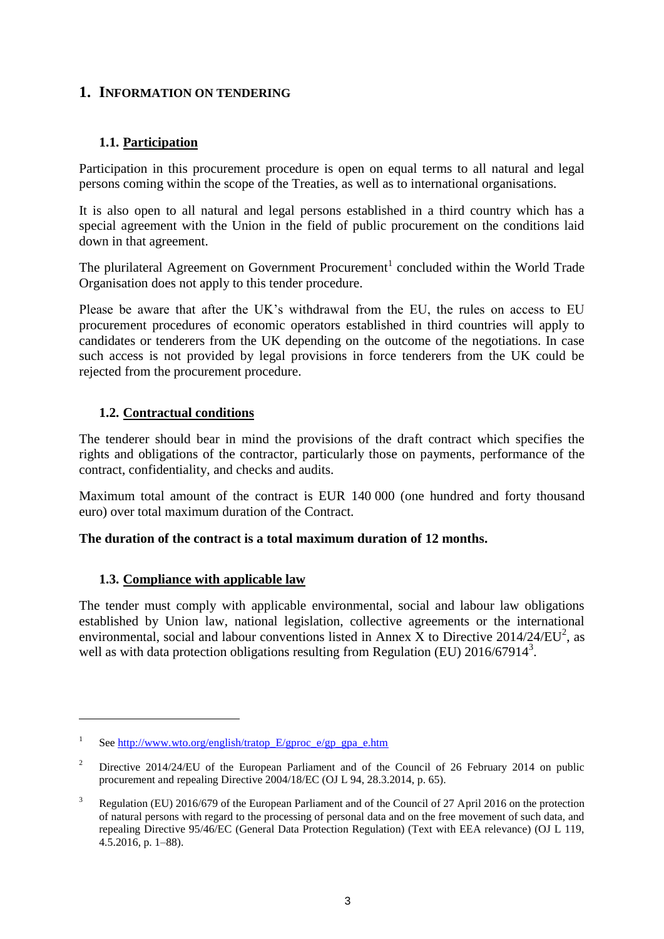# <span id="page-2-1"></span><span id="page-2-0"></span>**1. INFORMATION ON TENDERING**

# **1.1. Participation**

Participation in this procurement procedure is open on equal terms to all natural and legal persons coming within the scope of the Treaties, as well as to international organisations.

It is also open to all natural and legal persons established in a third country which has a special agreement with the Union in the field of public procurement on the conditions laid down in that agreement.

The plurilateral Agreement on Government Procurement<sup>1</sup> concluded within the World Trade Organisation does not apply to this tender procedure.

Please be aware that after the UK's withdrawal from the EU, the rules on access to EU procurement procedures of economic operators established in third countries will apply to candidates or tenderers from the UK depending on the outcome of the negotiations. In case such access is not provided by legal provisions in force tenderers from the UK could be rejected from the procurement procedure.

#### <span id="page-2-2"></span>**1.2. Contractual conditions**

The tenderer should bear in mind the provisions of the draft contract which specifies the rights and obligations of the contractor, particularly those on payments, performance of the contract, confidentiality, and checks and audits.

Maximum total amount of the contract is EUR 140 000 (one hundred and forty thousand euro) over total maximum duration of the Contract.

#### <span id="page-2-3"></span>**The duration of the contract is a total maximum duration of 12 months.**

#### **1.3. Compliance with applicable law**

 $\overline{a}$ 

The tender must comply with applicable environmental, social and labour law obligations established by Union law, national legislation, collective agreements or the international environmental, social and labour conventions listed in Annex X to Directive  $2014/24/EU^2$ , as well as with data protection obligations resulting from Regulation (EU)  $2016/67914^3$ .

<sup>1</sup> Se[e http://www.wto.org/english/tratop\\_E/gproc\\_e/gp\\_gpa\\_e.htm](http://www.wto.org/english/tratop_E/gproc_e/gp_gpa_e.htm)

<sup>&</sup>lt;sup>2</sup> Directive 2014/24/EU of the European Parliament and of the Council of 26 February 2014 on public procurement and repealing Directive 2004/18/EC (OJ L 94, 28.3.2014, p. 65).

<sup>&</sup>lt;sup>3</sup> Regulation (EU) 2016/679 of the European Parliament and of the Council of 27 April 2016 on the protection of natural persons with regard to the processing of personal data and on the free movement of such data, and repealing Directive 95/46/EC (General Data Protection Regulation) (Text with EEA relevance) (OJ L 119, 4.5.2016, p. 1–88).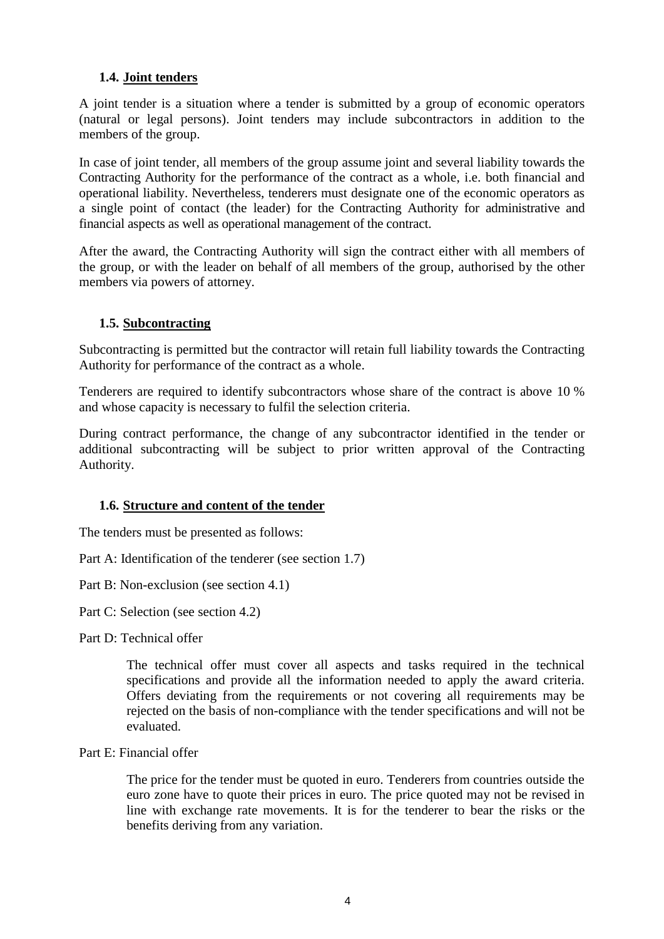# <span id="page-3-0"></span>**1.4. Joint tenders**

A joint tender is a situation where a tender is submitted by a group of economic operators (natural or legal persons). Joint tenders may include subcontractors in addition to the members of the group.

In case of joint tender, all members of the group assume joint and several liability towards the Contracting Authority for the performance of the contract as a whole, i.e. both financial and operational liability. Nevertheless, tenderers must designate one of the economic operators as a single point of contact (the leader) for the Contracting Authority for administrative and financial aspects as well as operational management of the contract.

After the award, the Contracting Authority will sign the contract either with all members of the group, or with the leader on behalf of all members of the group, authorised by the other members via powers of attorney.

#### <span id="page-3-1"></span>**1.5. Subcontracting**

Subcontracting is permitted but the contractor will retain full liability towards the Contracting Authority for performance of the contract as a whole.

Tenderers are required to identify subcontractors whose share of the contract is above 10 % and whose capacity is necessary to fulfil the selection criteria.

During contract performance, the change of any subcontractor identified in the tender or additional subcontracting will be subject to prior written approval of the Contracting Authority.

#### <span id="page-3-2"></span>**1.6. Structure and content of the tender**

The tenders must be presented as follows:

Part A: Identification of the tenderer (see section 1.7)

Part B: Non-exclusion (see section 4.1)

Part C: Selection (see section 4.2)

Part D: Technical offer

The technical offer must cover all aspects and tasks required in the technical specifications and provide all the information needed to apply the award criteria. Offers deviating from the requirements or not covering all requirements may be rejected on the basis of non-compliance with the tender specifications and will not be evaluated.

Part E: Financial offer

The price for the tender must be quoted in euro. Tenderers from countries outside the euro zone have to quote their prices in euro. The price quoted may not be revised in line with exchange rate movements. It is for the tenderer to bear the risks or the benefits deriving from any variation.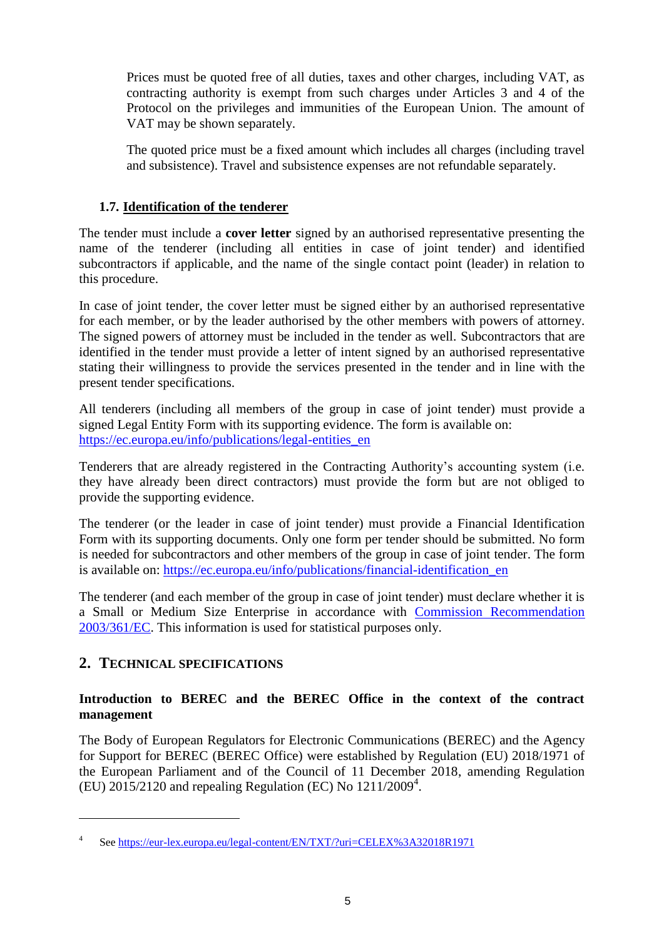Prices must be quoted free of all duties, taxes and other charges, including VAT, as contracting authority is exempt from such charges under Articles 3 and 4 of the Protocol on the privileges and immunities of the European Union. The amount of VAT may be shown separately.

The quoted price must be a fixed amount which includes all charges (including travel and subsistence). Travel and subsistence expenses are not refundable separately.

#### <span id="page-4-0"></span>**1.7. Identification of the tenderer**

The tender must include a **cover letter** signed by an authorised representative presenting the name of the tenderer (including all entities in case of joint tender) and identified subcontractors if applicable, and the name of the single contact point (leader) in relation to this procedure.

In case of joint tender, the cover letter must be signed either by an authorised representative for each member, or by the leader authorised by the other members with powers of attorney. The signed powers of attorney must be included in the tender as well. Subcontractors that are identified in the tender must provide a letter of intent signed by an authorised representative stating their willingness to provide the services presented in the tender and in line with the present tender specifications.

All tenderers (including all members of the group in case of joint tender) must provide a signed Legal Entity Form with its supporting evidence. The form is available on: [https://ec.europa.eu/info/publications/legal-entities\\_en](https://ec.europa.eu/info/publications/legal-entities_en)

Tenderers that are already registered in the Contracting Authority's accounting system (i.e. they have already been direct contractors) must provide the form but are not obliged to provide the supporting evidence.

The tenderer (or the leader in case of joint tender) must provide a Financial Identification Form with its supporting documents. Only one form per tender should be submitted. No form is needed for subcontractors and other members of the group in case of joint tender. The form is available on: [https://ec.europa.eu/info/publications/financial-identification\\_en](https://ec.europa.eu/info/publications/financial-identification_en)

The tenderer (and each member of the group in case of joint tender) must declare whether it is a Small or Medium Size Enterprise in accordance with [Commission Recommendation](http://eur-lex.europa.eu/LexUriServ/LexUriServ.do?uri=OJ:L:2003:124:0036:0041:en:PDF)  [2003/361/EC.](http://eur-lex.europa.eu/LexUriServ/LexUriServ.do?uri=OJ:L:2003:124:0036:0041:en:PDF) This information is used for statistical purposes only.

# <span id="page-4-1"></span>**2. TECHNICAL SPECIFICATIONS**

 $\overline{a}$ 

#### **Introduction to BEREC and the BEREC Office in the context of the contract management**

The Body of European Regulators for Electronic Communications (BEREC) and the Agency for Support for BEREC (BEREC Office) were established by Regulation (EU) 2018/1971 of the European Parliament and of the Council of 11 December 2018, amending Regulation (EU) 2015/2120 and repealing Regulation (EC) No  $1211/2009<sup>4</sup>$ .

<sup>4</sup> See<https://eur-lex.europa.eu/legal-content/EN/TXT/?uri=CELEX%3A32018R1971>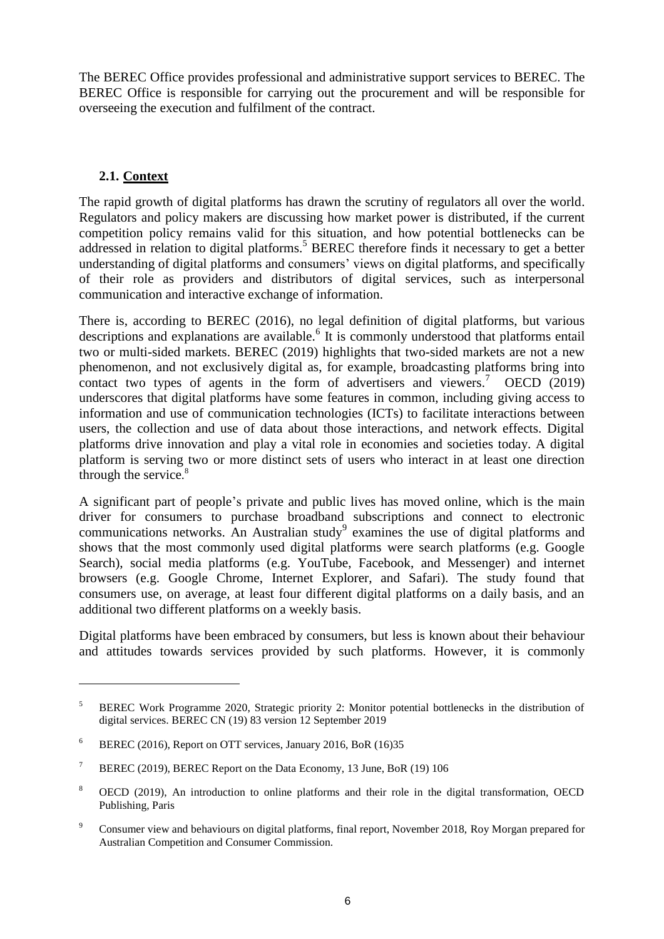The BEREC Office provides professional and administrative support services to BEREC. The BEREC Office is responsible for carrying out the procurement and will be responsible for overseeing the execution and fulfilment of the contract.

# <span id="page-5-0"></span>**2.1. Context**

 $\overline{a}$ 

The rapid growth of digital platforms has drawn the scrutiny of regulators all over the world. Regulators and policy makers are discussing how market power is distributed, if the current competition policy remains valid for this situation, and how potential bottlenecks can be addressed in relation to digital platforms.<sup>5</sup> BEREC therefore finds it necessary to get a better understanding of digital platforms and consumers' views on digital platforms, and specifically of their role as providers and distributors of digital services, such as interpersonal communication and interactive exchange of information.

There is, according to BEREC (2016), no legal definition of digital platforms, but various descriptions and explanations are available.<sup>6</sup> It is commonly understood that platforms entail two or multi-sided markets. BEREC (2019) highlights that two-sided markets are not a new phenomenon, and not exclusively digital as, for example, broadcasting platforms bring into contact two types of agents in the form of advertisers and viewers.<sup>7</sup> OECD (2019) underscores that digital platforms have some features in common, including giving access to information and use of communication technologies (ICTs) to facilitate interactions between users, the collection and use of data about those interactions, and network effects. Digital platforms drive innovation and play a vital role in economies and societies today. A digital platform is serving two or more distinct sets of users who interact in at least one direction through the service.<sup>8</sup>

A significant part of people's private and public lives has moved online, which is the main driver for consumers to purchase broadband subscriptions and connect to electronic communications networks. An Australian study<sup>9</sup> examines the use of digital platforms and shows that the most commonly used digital platforms were search platforms (e.g. Google Search), social media platforms (e.g. YouTube, Facebook, and Messenger) and internet browsers (e.g. Google Chrome, Internet Explorer, and Safari). The study found that consumers use, on average, at least four different digital platforms on a daily basis, and an additional two different platforms on a weekly basis.

Digital platforms have been embraced by consumers, but less is known about their behaviour and attitudes towards services provided by such platforms. However, it is commonly

<sup>5</sup> BEREC Work Programme 2020, Strategic priority 2: Monitor potential bottlenecks in the distribution of digital services. BEREC CN (19) 83 version 12 September 2019

<sup>&</sup>lt;sup>6</sup> BEREC (2016), Report on OTT services, January 2016, BoR (16)35

<sup>&</sup>lt;sup>7</sup> BEREC (2019), BEREC Report on the Data Economy, 13 June, BoR (19) 106

<sup>8</sup> OECD (2019), An introduction to online platforms and their role in the digital transformation, OECD Publishing, Paris

<sup>&</sup>lt;sup>9</sup> Consumer view and behaviours on digital platforms, final report, November 2018, Roy Morgan prepared for Australian Competition and Consumer Commission.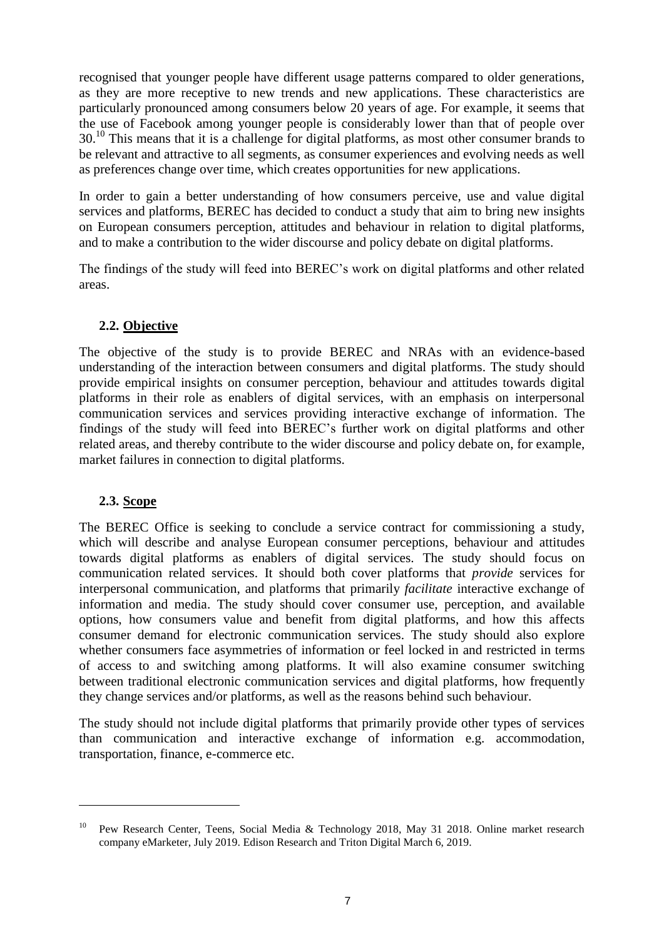recognised that younger people have different usage patterns compared to older generations, as they are more receptive to new trends and new applications. These characteristics are particularly pronounced among consumers below 20 years of age. For example, it seems that the use of Facebook among younger people is considerably lower than that of people over  $30<sup>10</sup>$  This means that it is a challenge for digital platforms, as most other consumer brands to be relevant and attractive to all segments, as consumer experiences and evolving needs as well as preferences change over time, which creates opportunities for new applications.

In order to gain a better understanding of how consumers perceive, use and value digital services and platforms, BEREC has decided to conduct a study that aim to bring new insights on European consumers perception, attitudes and behaviour in relation to digital platforms, and to make a contribution to the wider discourse and policy debate on digital platforms.

The findings of the study will feed into BEREC's work on digital platforms and other related areas.

#### <span id="page-6-0"></span>**2.2. Objective**

The objective of the study is to provide BEREC and NRAs with an evidence-based understanding of the interaction between consumers and digital platforms. The study should provide empirical insights on consumer perception, behaviour and attitudes towards digital platforms in their role as enablers of digital services, with an emphasis on interpersonal communication services and services providing interactive exchange of information. The findings of the study will feed into BEREC's further work on digital platforms and other related areas, and thereby contribute to the wider discourse and policy debate on, for example, market failures in connection to digital platforms.

#### <span id="page-6-1"></span>**2.3. Scope**

 $\overline{a}$ 

The BEREC Office is seeking to conclude a service contract for commissioning a study, which will describe and analyse European consumer perceptions, behaviour and attitudes towards digital platforms as enablers of digital services. The study should focus on communication related services. It should both cover platforms that *provide* services for interpersonal communication, and platforms that primarily *facilitate* interactive exchange of information and media. The study should cover consumer use, perception, and available options, how consumers value and benefit from digital platforms, and how this affects consumer demand for electronic communication services. The study should also explore whether consumers face asymmetries of information or feel locked in and restricted in terms of access to and switching among platforms. It will also examine consumer switching between traditional electronic communication services and digital platforms, how frequently they change services and/or platforms, as well as the reasons behind such behaviour.

The study should not include digital platforms that primarily provide other types of services than communication and interactive exchange of information e.g. accommodation, transportation, finance, e-commerce etc.

<sup>10</sup> Pew Research Center, Teens, Social Media & Technology 2018, May 31 2018. Online market research company eMarketer, July 2019. Edison Research and Triton Digital March 6, 2019.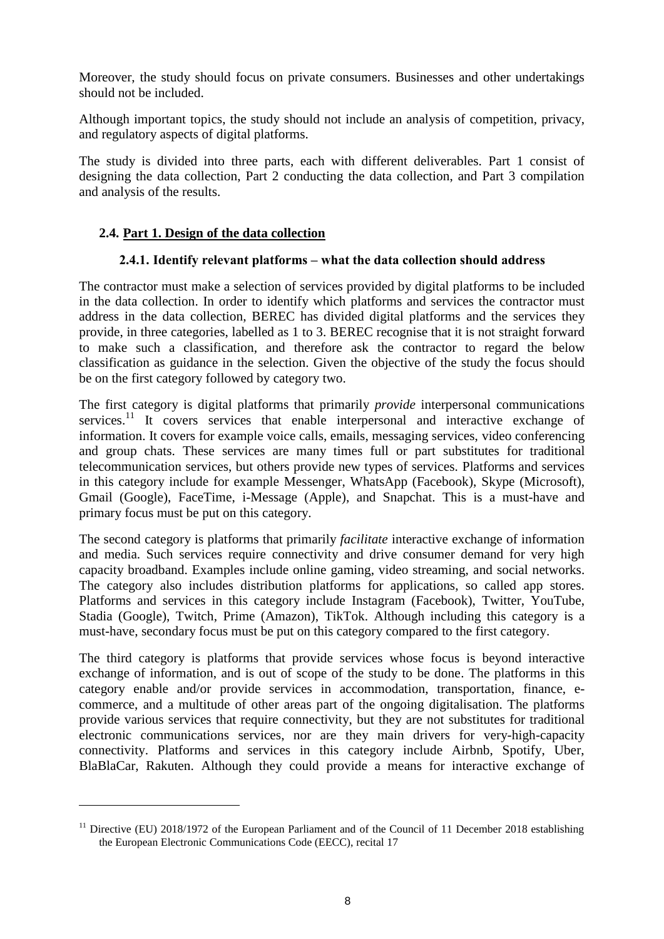Moreover, the study should focus on private consumers. Businesses and other undertakings should not be included.

Although important topics, the study should not include an analysis of competition, privacy, and regulatory aspects of digital platforms.

The study is divided into three parts, each with different deliverables. Part 1 consist of designing the data collection, Part 2 conducting the data collection, and Part 3 compilation and analysis of the results.

#### <span id="page-7-0"></span>**2.4. Part 1. Design of the data collection**

 $\overline{a}$ 

#### **2.4.1. Identify relevant platforms – what the data collection should address**

The contractor must make a selection of services provided by digital platforms to be included in the data collection. In order to identify which platforms and services the contractor must address in the data collection, BEREC has divided digital platforms and the services they provide, in three categories, labelled as 1 to 3. BEREC recognise that it is not straight forward to make such a classification, and therefore ask the contractor to regard the below classification as guidance in the selection. Given the objective of the study the focus should be on the first category followed by category two.

The first category is digital platforms that primarily *provide* interpersonal communications services.<sup>11</sup> It covers services that enable interpersonal and interactive exchange of information. It covers for example voice calls, emails, messaging services, video conferencing and group chats. These services are many times full or part substitutes for traditional telecommunication services, but others provide new types of services. Platforms and services in this category include for example Messenger, WhatsApp (Facebook), Skype (Microsoft), Gmail (Google), FaceTime, i-Message (Apple), and Snapchat. This is a must-have and primary focus must be put on this category.

The second category is platforms that primarily *facilitate* interactive exchange of information and media. Such services require connectivity and drive consumer demand for very high capacity broadband. Examples include online gaming, video streaming, and social networks. The category also includes distribution platforms for applications, so called app stores. Platforms and services in this category include Instagram (Facebook), Twitter, YouTube, Stadia (Google), Twitch, Prime (Amazon), TikTok. Although including this category is a must-have, secondary focus must be put on this category compared to the first category.

The third category is platforms that provide services whose focus is beyond interactive exchange of information, and is out of scope of the study to be done. The platforms in this category enable and/or provide services in accommodation, transportation, finance, ecommerce, and a multitude of other areas part of the ongoing digitalisation. The platforms provide various services that require connectivity, but they are not substitutes for traditional electronic communications services, nor are they main drivers for very-high-capacity connectivity. Platforms and services in this category include Airbnb, Spotify, Uber, BlaBlaCar, Rakuten. Although they could provide a means for interactive exchange of

<sup>&</sup>lt;sup>11</sup> Directive (EU) 2018/1972 of the European Parliament and of the Council of 11 December 2018 establishing the European Electronic Communications Code (EECC), recital 17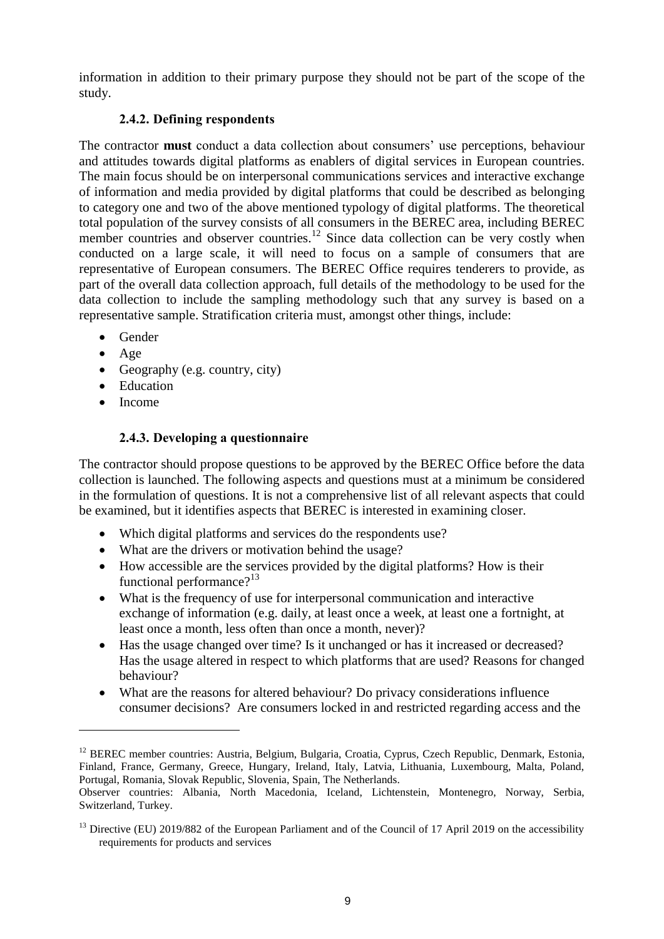information in addition to their primary purpose they should not be part of the scope of the study.

# **2.4.2. Defining respondents**

The contractor **must** conduct a data collection about consumers' use perceptions, behaviour and attitudes towards digital platforms as enablers of digital services in European countries. The main focus should be on interpersonal communications services and interactive exchange of information and media provided by digital platforms that could be described as belonging to category one and two of the above mentioned typology of digital platforms. The theoretical total population of the survey consists of all consumers in the BEREC area, including BEREC member countries and observer countries.<sup>12</sup> Since data collection can be very costly when conducted on a large scale, it will need to focus on a sample of consumers that are representative of European consumers. The BEREC Office requires tenderers to provide, as part of the overall data collection approach, full details of the methodology to be used for the data collection to include the sampling methodology such that any survey is based on a representative sample. Stratification criteria must, amongst other things, include:

- Gender
- Age
- Geography (e.g. country, city)
- Education
- $\bullet$  Income

 $\overline{a}$ 

# **2.4.3. Developing a questionnaire**

The contractor should propose questions to be approved by the BEREC Office before the data collection is launched. The following aspects and questions must at a minimum be considered in the formulation of questions. It is not a comprehensive list of all relevant aspects that could be examined, but it identifies aspects that BEREC is interested in examining closer.

- Which digital platforms and services do the respondents use?
- What are the drivers or motivation behind the usage?
- How accessible are the services provided by the digital platforms? How is their functional performance? $13$
- What is the frequency of use for interpersonal communication and interactive exchange of information (e.g. daily, at least once a week, at least one a fortnight, at least once a month, less often than once a month, never)?
- Has the usage changed over time? Is it unchanged or has it increased or decreased? Has the usage altered in respect to which platforms that are used? Reasons for changed behaviour?
- What are the reasons for altered behaviour? Do privacy considerations influence consumer decisions? Are consumers locked in and restricted regarding access and the

<sup>&</sup>lt;sup>12</sup> BEREC member countries: Austria, Belgium, Bulgaria, Croatia, Cyprus, Czech Republic, Denmark, Estonia, Finland, France, Germany, Greece, Hungary, Ireland, Italy, Latvia, Lithuania, Luxembourg, Malta, Poland, Portugal, Romania, Slovak Republic, Slovenia, Spain, The Netherlands.

Observer countries: Albania, North Macedonia, Iceland, Lichtenstein, Montenegro, Norway, Serbia, Switzerland, Turkey.

<sup>&</sup>lt;sup>13</sup> Directive (EU) 2019/882 of the European Parliament and of the Council of 17 April 2019 on the accessibility requirements for products and services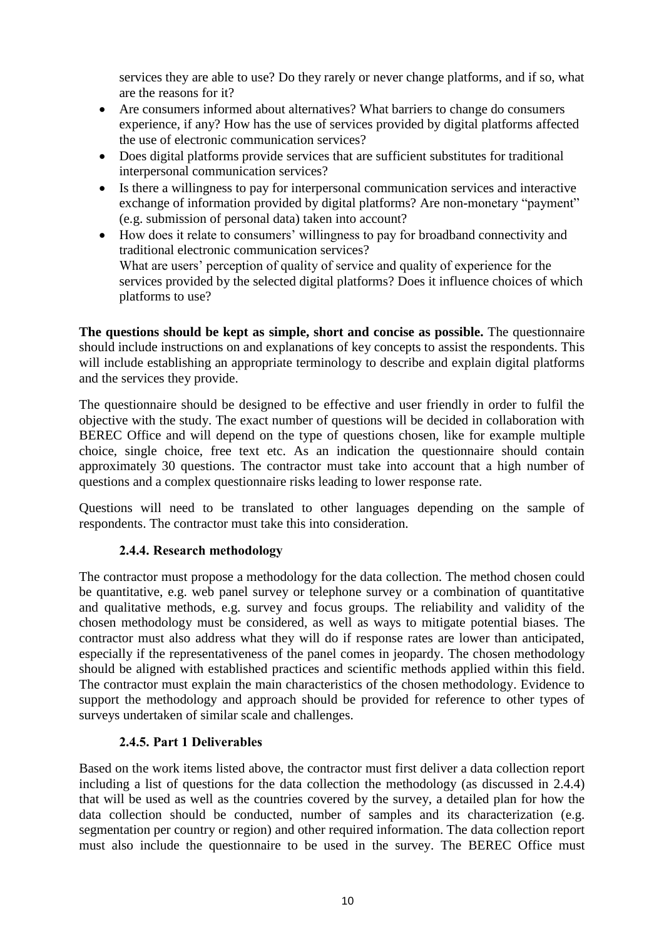services they are able to use? Do they rarely or never change platforms, and if so, what are the reasons for it?

- Are consumers informed about alternatives? What barriers to change do consumers experience, if any? How has the use of services provided by digital platforms affected the use of electronic communication services?
- Does digital platforms provide services that are sufficient substitutes for traditional interpersonal communication services?
- Is there a willingness to pay for interpersonal communication services and interactive exchange of information provided by digital platforms? Are non-monetary "payment" (e.g. submission of personal data) taken into account?
- How does it relate to consumers' willingness to pay for broadband connectivity and traditional electronic communication services? What are users' perception of quality of service and quality of experience for the services provided by the selected digital platforms? Does it influence choices of which platforms to use?

**The questions should be kept as simple, short and concise as possible.** The questionnaire should include instructions on and explanations of key concepts to assist the respondents. This will include establishing an appropriate terminology to describe and explain digital platforms and the services they provide.

The questionnaire should be designed to be effective and user friendly in order to fulfil the objective with the study. The exact number of questions will be decided in collaboration with BEREC Office and will depend on the type of questions chosen, like for example multiple choice, single choice, free text etc. As an indication the questionnaire should contain approximately 30 questions. The contractor must take into account that a high number of questions and a complex questionnaire risks leading to lower response rate.

Questions will need to be translated to other languages depending on the sample of respondents. The contractor must take this into consideration.

#### **2.4.4. Research methodology**

The contractor must propose a methodology for the data collection. The method chosen could be quantitative, e.g. web panel survey or telephone survey or a combination of quantitative and qualitative methods, e.g. survey and focus groups. The reliability and validity of the chosen methodology must be considered, as well as ways to mitigate potential biases. The contractor must also address what they will do if response rates are lower than anticipated, especially if the representativeness of the panel comes in jeopardy. The chosen methodology should be aligned with established practices and scientific methods applied within this field. The contractor must explain the main characteristics of the chosen methodology. Evidence to support the methodology and approach should be provided for reference to other types of surveys undertaken of similar scale and challenges.

#### **2.4.5. Part 1 Deliverables**

Based on the work items listed above, the contractor must first deliver a data collection report including a list of questions for the data collection the methodology (as discussed in 2.4.4) that will be used as well as the countries covered by the survey, a detailed plan for how the data collection should be conducted, number of samples and its characterization (e.g. segmentation per country or region) and other required information. The data collection report must also include the questionnaire to be used in the survey. The BEREC Office must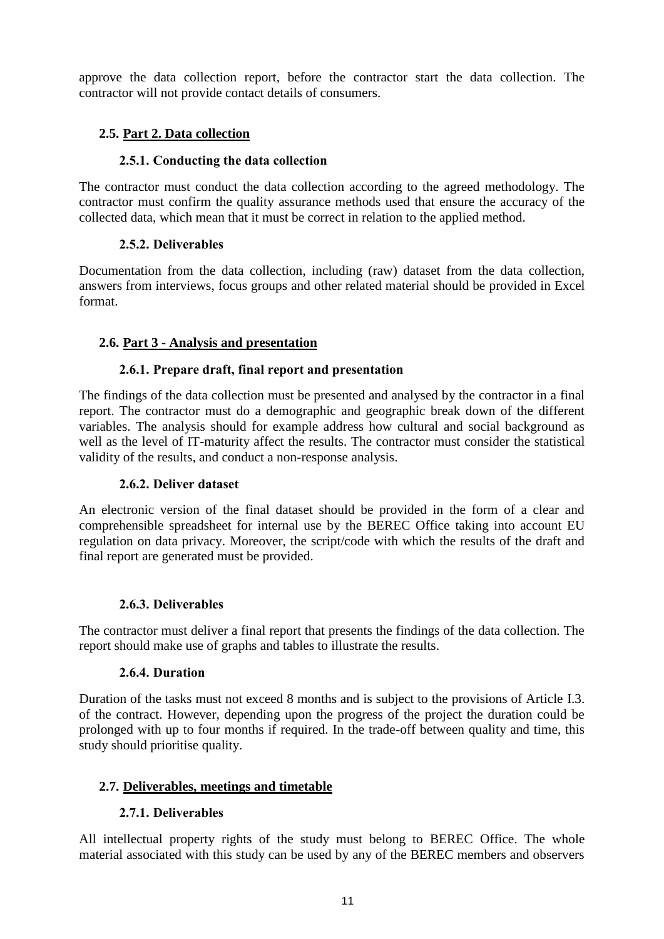approve the data collection report, before the contractor start the data collection. The contractor will not provide contact details of consumers.

# <span id="page-10-0"></span>**2.5. Part 2. Data collection**

# **2.5.1. Conducting the data collection**

The contractor must conduct the data collection according to the agreed methodology. The contractor must confirm the quality assurance methods used that ensure the accuracy of the collected data, which mean that it must be correct in relation to the applied method.

# **2.5.2. Deliverables**

Documentation from the data collection, including (raw) dataset from the data collection, answers from interviews, focus groups and other related material should be provided in Excel format.

# <span id="page-10-1"></span>**2.6. Part 3 - Analysis and presentation**

# **2.6.1. Prepare draft, final report and presentation**

The findings of the data collection must be presented and analysed by the contractor in a final report. The contractor must do a demographic and geographic break down of the different variables. The analysis should for example address how cultural and social background as well as the level of IT-maturity affect the results. The contractor must consider the statistical validity of the results, and conduct a non-response analysis.

#### **2.6.2. Deliver dataset**

An electronic version of the final dataset should be provided in the form of a clear and comprehensible spreadsheet for internal use by the BEREC Office taking into account EU regulation on data privacy. Moreover, the script/code with which the results of the draft and final report are generated must be provided.

#### **2.6.3. Deliverables**

The contractor must deliver a final report that presents the findings of the data collection. The report should make use of graphs and tables to illustrate the results.

#### **2.6.4. Duration**

Duration of the tasks must not exceed 8 months and is subject to the provisions of Article I.3. of the contract. However, depending upon the progress of the project the duration could be prolonged with up to four months if required. In the trade-off between quality and time, this study should prioritise quality.

#### <span id="page-10-2"></span>**2.7. Deliverables, meetings and timetable**

#### **2.7.1. Deliverables**

All intellectual property rights of the study must belong to BEREC Office. The whole material associated with this study can be used by any of the BEREC members and observers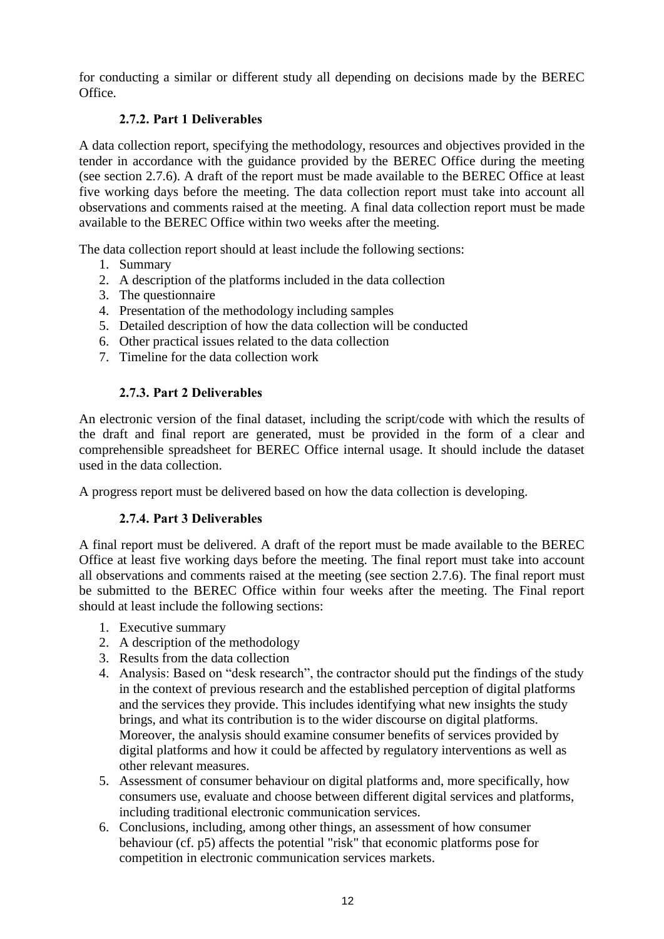for conducting a similar or different study all depending on decisions made by the BEREC Office.

# **2.7.2. Part 1 Deliverables**

A data collection report, specifying the methodology, resources and objectives provided in the tender in accordance with the guidance provided by the BEREC Office during the meeting (see section 2.7.6). A draft of the report must be made available to the BEREC Office at least five working days before the meeting. The data collection report must take into account all observations and comments raised at the meeting. A final data collection report must be made available to the BEREC Office within two weeks after the meeting.

The data collection report should at least include the following sections:

- 1. Summary
- 2. A description of the platforms included in the data collection
- 3. The questionnaire
- 4. Presentation of the methodology including samples
- 5. Detailed description of how the data collection will be conducted
- 6. Other practical issues related to the data collection
- 7. Timeline for the data collection work

# **2.7.3. Part 2 Deliverables**

An electronic version of the final dataset, including the script/code with which the results of the draft and final report are generated, must be provided in the form of a clear and comprehensible spreadsheet for BEREC Office internal usage. It should include the dataset used in the data collection.

A progress report must be delivered based on how the data collection is developing.

#### **2.7.4. Part 3 Deliverables**

A final report must be delivered. A draft of the report must be made available to the BEREC Office at least five working days before the meeting. The final report must take into account all observations and comments raised at the meeting (see section 2.7.6). The final report must be submitted to the BEREC Office within four weeks after the meeting. The Final report should at least include the following sections:

- 1. Executive summary
- 2. A description of the methodology
- 3. Results from the data collection
- 4. Analysis: Based on "desk research", the contractor should put the findings of the study in the context of previous research and the established perception of digital platforms and the services they provide. This includes identifying what new insights the study brings, and what its contribution is to the wider discourse on digital platforms. Moreover, the analysis should examine consumer benefits of services provided by digital platforms and how it could be affected by regulatory interventions as well as other relevant measures.
- 5. Assessment of consumer behaviour on digital platforms and, more specifically, how consumers use, evaluate and choose between different digital services and platforms, including traditional electronic communication services.
- 6. Conclusions, including, among other things, an assessment of how consumer behaviour (cf. p5) affects the potential "risk" that economic platforms pose for competition in electronic communication services markets.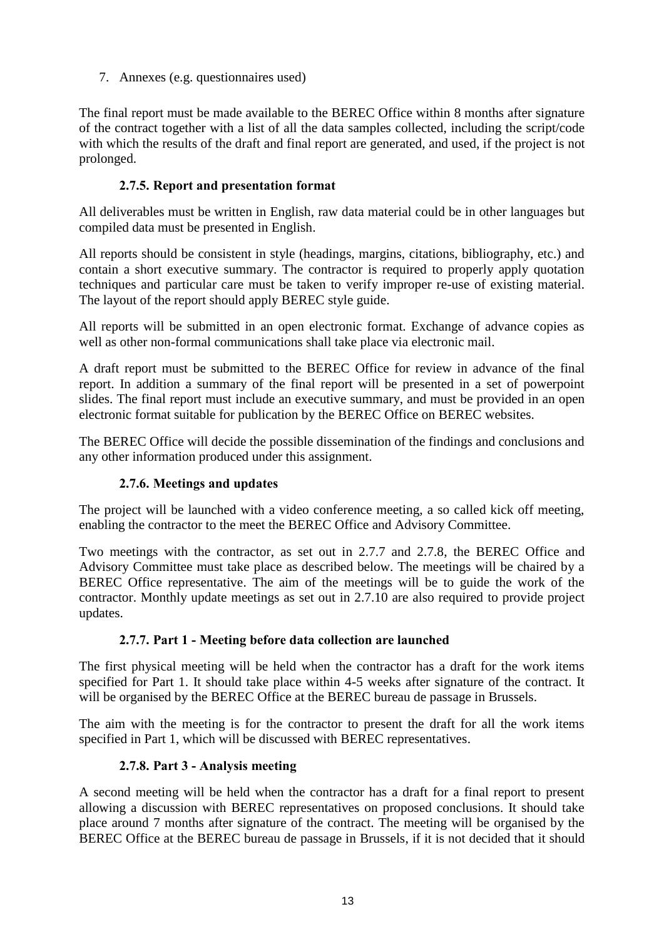7. Annexes (e.g. questionnaires used)

The final report must be made available to the BEREC Office within 8 months after signature of the contract together with a list of all the data samples collected, including the script/code with which the results of the draft and final report are generated, and used, if the project is not prolonged.

# **2.7.5. Report and presentation format**

All deliverables must be written in English, raw data material could be in other languages but compiled data must be presented in English.

All reports should be consistent in style (headings, margins, citations, bibliography, etc.) and contain a short executive summary. The contractor is required to properly apply quotation techniques and particular care must be taken to verify improper re-use of existing material. The layout of the report should apply BEREC style guide.

All reports will be submitted in an open electronic format. Exchange of advance copies as well as other non-formal communications shall take place via electronic mail.

A draft report must be submitted to the BEREC Office for review in advance of the final report. In addition a summary of the final report will be presented in a set of powerpoint slides. The final report must include an executive summary, and must be provided in an open electronic format suitable for publication by the BEREC Office on BEREC websites.

The BEREC Office will decide the possible dissemination of the findings and conclusions and any other information produced under this assignment.

#### **2.7.6. Meetings and updates**

The project will be launched with a video conference meeting, a so called kick off meeting, enabling the contractor to the meet the BEREC Office and Advisory Committee.

Two meetings with the contractor, as set out in 2.7.7 and 2.7.8, the BEREC Office and Advisory Committee must take place as described below. The meetings will be chaired by a BEREC Office representative. The aim of the meetings will be to guide the work of the contractor. Monthly update meetings as set out in 2.7.10 are also required to provide project updates.

#### **2.7.7. Part 1 - Meeting before data collection are launched**

The first physical meeting will be held when the contractor has a draft for the work items specified for Part 1. It should take place within 4-5 weeks after signature of the contract. It will be organised by the BEREC Office at the BEREC bureau de passage in Brussels.

The aim with the meeting is for the contractor to present the draft for all the work items specified in Part 1, which will be discussed with BEREC representatives.

#### **2.7.8. Part 3 - Analysis meeting**

A second meeting will be held when the contractor has a draft for a final report to present allowing a discussion with BEREC representatives on proposed conclusions. It should take place around 7 months after signature of the contract. The meeting will be organised by the BEREC Office at the BEREC bureau de passage in Brussels, if it is not decided that it should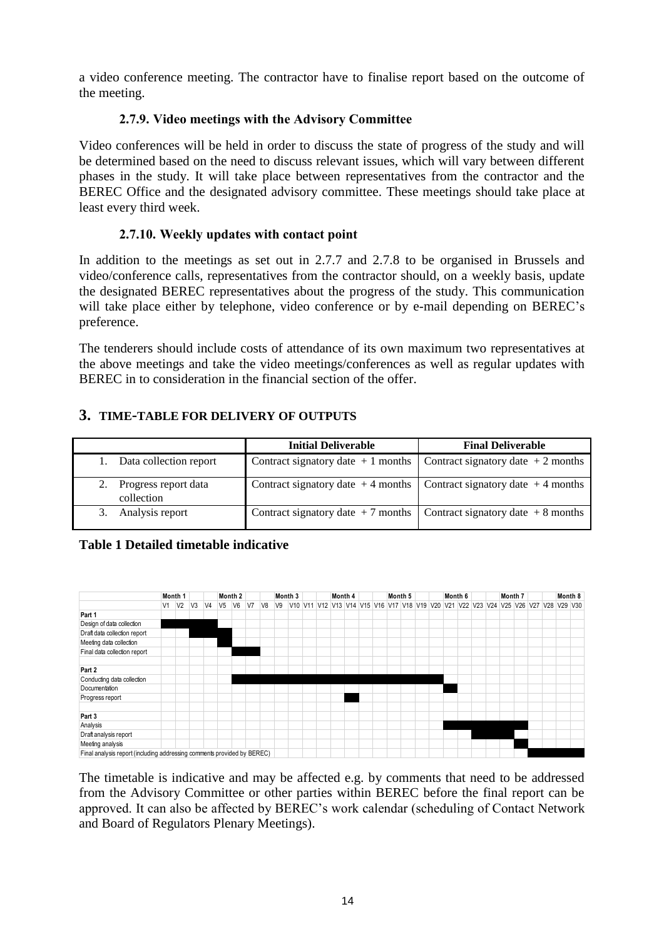a video conference meeting. The contractor have to finalise report based on the outcome of the meeting.

#### **2.7.9. Video meetings with the Advisory Committee**

Video conferences will be held in order to discuss the state of progress of the study and will be determined based on the need to discuss relevant issues, which will vary between different phases in the study. It will take place between representatives from the contractor and the BEREC Office and the designated advisory committee. These meetings should take place at least every third week.

# **2.7.10. Weekly updates with contact point**

In addition to the meetings as set out in 2.7.7 and 2.7.8 to be organised in Brussels and video/conference calls, representatives from the contractor should, on a weekly basis, update the designated BEREC representatives about the progress of the study. This communication will take place either by telephone, video conference or by e-mail depending on BEREC's preference.

The tenderers should include costs of attendance of its own maximum two representatives at the above meetings and take the video meetings/conferences as well as regular updates with BEREC in to consideration in the financial section of the offer.

# <span id="page-13-0"></span>**3. TIME-TABLE FOR DELIVERY OF OUTPUTS**

|                                    | <b>Initial Deliverable</b>                                                | <b>Final Deliverable</b> |
|------------------------------------|---------------------------------------------------------------------------|--------------------------|
| Data collection report             | Contract signatory date $+1$ months Contract signatory date $+2$ months   |                          |
| Progress report data<br>collection | Contract signatory date $+4$ months   Contract signatory date $+4$ months |                          |
| Analysis report                    | Contract signatory date $+7$ months Contract signatory date $+8$ months   |                          |

#### **Table 1 Detailed timetable indicative**



The timetable is indicative and may be affected e.g. by comments that need to be addressed from the Advisory Committee or other parties within BEREC before the final report can be approved. It can also be affected by BEREC's work calendar (scheduling of Contact Network and Board of Regulators Plenary Meetings).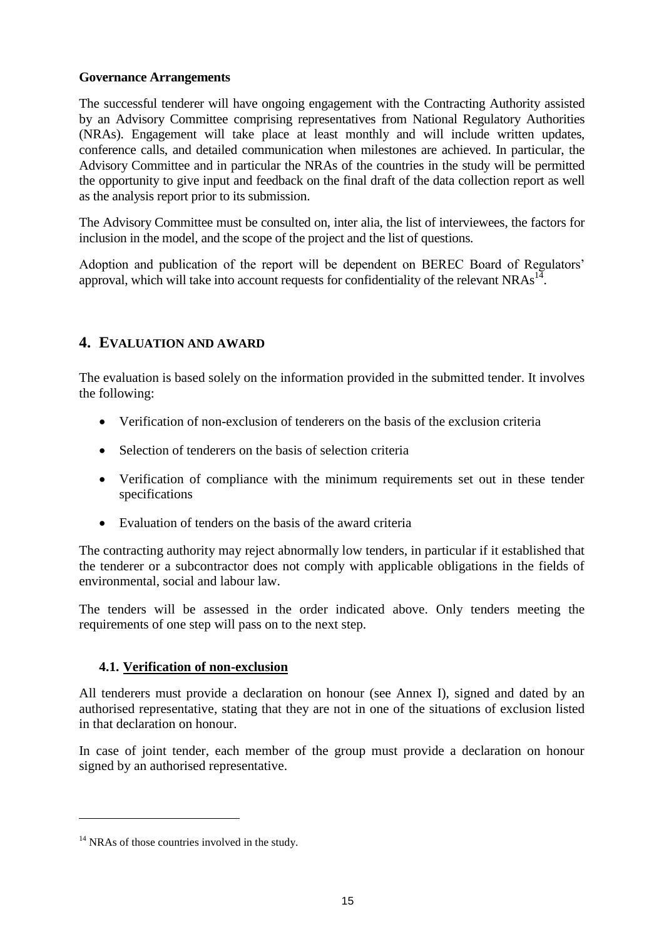#### **Governance Arrangements**

The successful tenderer will have ongoing engagement with the Contracting Authority assisted by an Advisory Committee comprising representatives from National Regulatory Authorities (NRAs). Engagement will take place at least monthly and will include written updates, conference calls, and detailed communication when milestones are achieved. In particular, the Advisory Committee and in particular the NRAs of the countries in the study will be permitted the opportunity to give input and feedback on the final draft of the data collection report as well as the analysis report prior to its submission.

The Advisory Committee must be consulted on, inter alia, the list of interviewees, the factors for inclusion in the model, and the scope of the project and the list of questions.

Adoption and publication of the report will be dependent on BEREC Board of Regulators' approval, which will take into account requests for confidentiality of the relevant NRAs<sup>14</sup>.

# <span id="page-14-0"></span>**4. EVALUATION AND AWARD**

The evaluation is based solely on the information provided in the submitted tender. It involves the following:

- Verification of non-exclusion of tenderers on the basis of the exclusion criteria
- Selection of tenderers on the basis of selection criteria
- Verification of compliance with the minimum requirements set out in these tender specifications
- Evaluation of tenders on the basis of the award criteria

The contracting authority may reject abnormally low tenders, in particular if it established that the tenderer or a subcontractor does not comply with applicable obligations in the fields of environmental, social and labour law.

The tenders will be assessed in the order indicated above. Only tenders meeting the requirements of one step will pass on to the next step.

#### <span id="page-14-1"></span>**4.1. Verification of non-exclusion**

All tenderers must provide a declaration on honour (see Annex I), signed and dated by an authorised representative, stating that they are not in one of the situations of exclusion listed in that declaration on honour.

In case of joint tender, each member of the group must provide a declaration on honour signed by an authorised representative.

 $\overline{a}$ 

 $14$  NRAs of those countries involved in the study.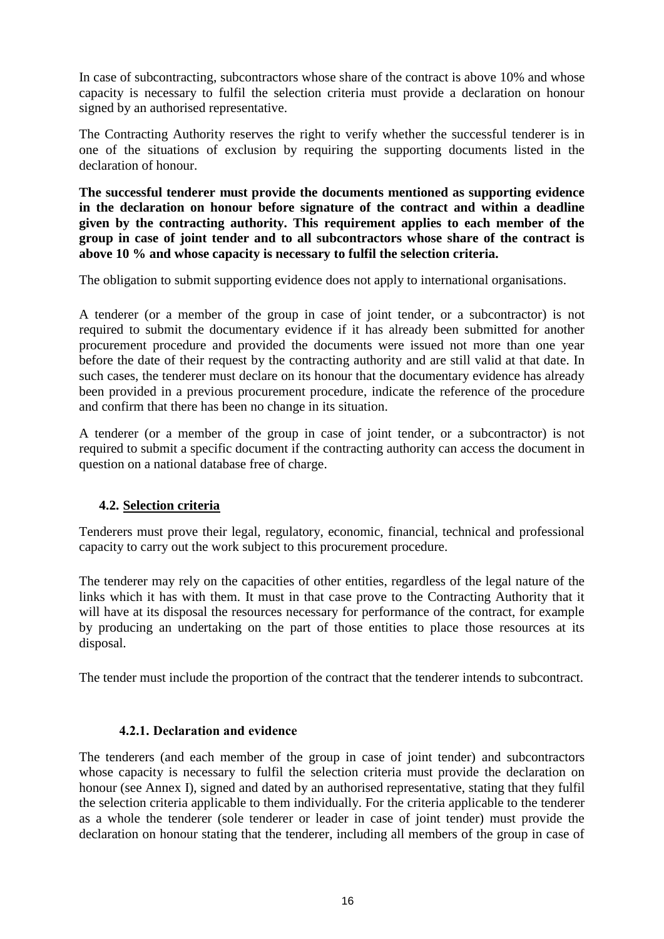In case of subcontracting, subcontractors whose share of the contract is above 10% and whose capacity is necessary to fulfil the selection criteria must provide a declaration on honour signed by an authorised representative.

The Contracting Authority reserves the right to verify whether the successful tenderer is in one of the situations of exclusion by requiring the supporting documents listed in the declaration of honour.

**The successful tenderer must provide the documents mentioned as supporting evidence in the declaration on honour before signature of the contract and within a deadline given by the contracting authority. This requirement applies to each member of the group in case of joint tender and to all subcontractors whose share of the contract is above 10 % and whose capacity is necessary to fulfil the selection criteria.**

The obligation to submit supporting evidence does not apply to international organisations.

A tenderer (or a member of the group in case of joint tender, or a subcontractor) is not required to submit the documentary evidence if it has already been submitted for another procurement procedure and provided the documents were issued not more than one year before the date of their request by the contracting authority and are still valid at that date. In such cases, the tenderer must declare on its honour that the documentary evidence has already been provided in a previous procurement procedure, indicate the reference of the procedure and confirm that there has been no change in its situation.

A tenderer (or a member of the group in case of joint tender, or a subcontractor) is not required to submit a specific document if the contracting authority can access the document in question on a national database free of charge.

#### <span id="page-15-0"></span>**4.2. Selection criteria**

Tenderers must prove their legal, regulatory, economic, financial, technical and professional capacity to carry out the work subject to this procurement procedure.

The tenderer may rely on the capacities of other entities, regardless of the legal nature of the links which it has with them. It must in that case prove to the Contracting Authority that it will have at its disposal the resources necessary for performance of the contract, for example by producing an undertaking on the part of those entities to place those resources at its disposal.

The tender must include the proportion of the contract that the tenderer intends to subcontract.

#### **4.2.1. Declaration and evidence**

The tenderers (and each member of the group in case of joint tender) and subcontractors whose capacity is necessary to fulfil the selection criteria must provide the declaration on honour (see Annex I), signed and dated by an authorised representative, stating that they fulfil the selection criteria applicable to them individually. For the criteria applicable to the tenderer as a whole the tenderer (sole tenderer or leader in case of joint tender) must provide the declaration on honour stating that the tenderer, including all members of the group in case of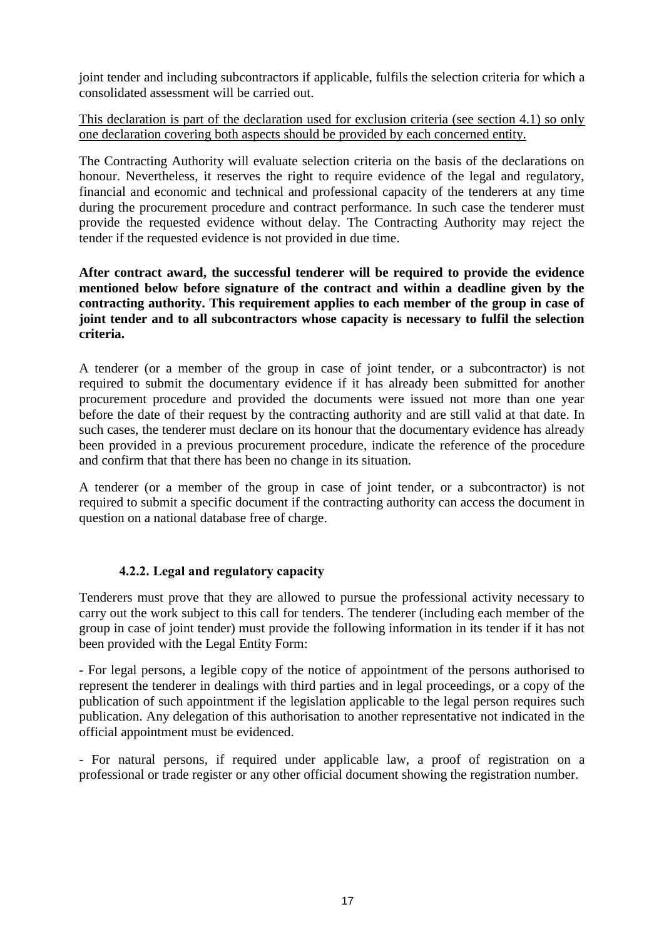joint tender and including subcontractors if applicable, fulfils the selection criteria for which a consolidated assessment will be carried out.

This declaration is part of the declaration used for exclusion criteria (see section 4.1) so only one declaration covering both aspects should be provided by each concerned entity.

The Contracting Authority will evaluate selection criteria on the basis of the declarations on honour. Nevertheless, it reserves the right to require evidence of the legal and regulatory, financial and economic and technical and professional capacity of the tenderers at any time during the procurement procedure and contract performance. In such case the tenderer must provide the requested evidence without delay. The Contracting Authority may reject the tender if the requested evidence is not provided in due time.

**After contract award, the successful tenderer will be required to provide the evidence mentioned below before signature of the contract and within a deadline given by the contracting authority. This requirement applies to each member of the group in case of joint tender and to all subcontractors whose capacity is necessary to fulfil the selection criteria.**

A tenderer (or a member of the group in case of joint tender, or a subcontractor) is not required to submit the documentary evidence if it has already been submitted for another procurement procedure and provided the documents were issued not more than one year before the date of their request by the contracting authority and are still valid at that date. In such cases, the tenderer must declare on its honour that the documentary evidence has already been provided in a previous procurement procedure, indicate the reference of the procedure and confirm that that there has been no change in its situation.

A tenderer (or a member of the group in case of joint tender, or a subcontractor) is not required to submit a specific document if the contracting authority can access the document in question on a national database free of charge.

#### **4.2.2. Legal and regulatory capacity**

Tenderers must prove that they are allowed to pursue the professional activity necessary to carry out the work subject to this call for tenders. The tenderer (including each member of the group in case of joint tender) must provide the following information in its tender if it has not been provided with the Legal Entity Form:

- For legal persons, a legible copy of the notice of appointment of the persons authorised to represent the tenderer in dealings with third parties and in legal proceedings, or a copy of the publication of such appointment if the legislation applicable to the legal person requires such publication. Any delegation of this authorisation to another representative not indicated in the official appointment must be evidenced.

- For natural persons, if required under applicable law, a proof of registration on a professional or trade register or any other official document showing the registration number.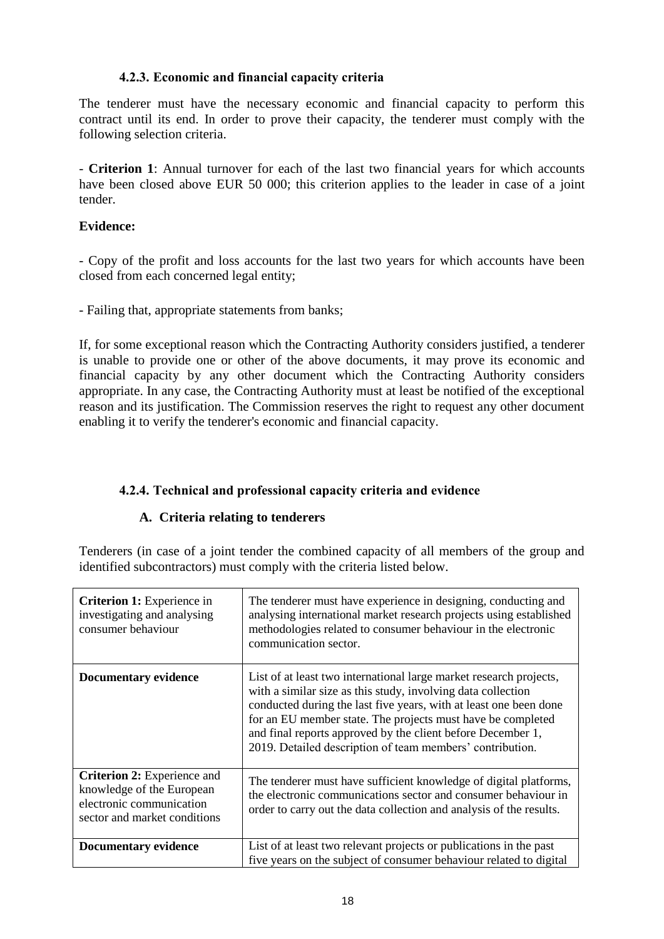#### **4.2.3. Economic and financial capacity criteria**

The tenderer must have the necessary economic and financial capacity to perform this contract until its end. In order to prove their capacity, the tenderer must comply with the following selection criteria.

- **Criterion 1**: Annual turnover for each of the last two financial years for which accounts have been closed above EUR 50 000; this criterion applies to the leader in case of a joint tender.

#### **Evidence:**

- Copy of the profit and loss accounts for the last two years for which accounts have been closed from each concerned legal entity;

- Failing that, appropriate statements from banks;

If, for some exceptional reason which the Contracting Authority considers justified, a tenderer is unable to provide one or other of the above documents, it may prove its economic and financial capacity by any other document which the Contracting Authority considers appropriate. In any case, the Contracting Authority must at least be notified of the exceptional reason and its justification. The Commission reserves the right to request any other document enabling it to verify the tenderer's economic and financial capacity.

# **4.2.4. Technical and professional capacity criteria and evidence**

#### **A. Criteria relating to tenderers**

Tenderers (in case of a joint tender the combined capacity of all members of the group and identified subcontractors) must comply with the criteria listed below.

| <b>Criterion 1:</b> Experience in<br>investigating and analysing<br>consumer behaviour                               | The tenderer must have experience in designing, conducting and<br>analysing international market research projects using established<br>methodologies related to consumer behaviour in the electronic<br>communication sector.                                                                                                                                                                     |  |  |  |
|----------------------------------------------------------------------------------------------------------------------|----------------------------------------------------------------------------------------------------------------------------------------------------------------------------------------------------------------------------------------------------------------------------------------------------------------------------------------------------------------------------------------------------|--|--|--|
| <b>Documentary evidence</b>                                                                                          | List of at least two international large market research projects,<br>with a similar size as this study, involving data collection<br>conducted during the last five years, with at least one been done<br>for an EU member state. The projects must have be completed<br>and final reports approved by the client before December 1,<br>2019. Detailed description of team members' contribution. |  |  |  |
| Criterion 2: Experience and<br>knowledge of the European<br>electronic communication<br>sector and market conditions | The tenderer must have sufficient knowledge of digital platforms,<br>the electronic communications sector and consumer behaviour in<br>order to carry out the data collection and analysis of the results.                                                                                                                                                                                         |  |  |  |
| <b>Documentary evidence</b>                                                                                          | List of at least two relevant projects or publications in the past<br>five years on the subject of consumer behaviour related to digital                                                                                                                                                                                                                                                           |  |  |  |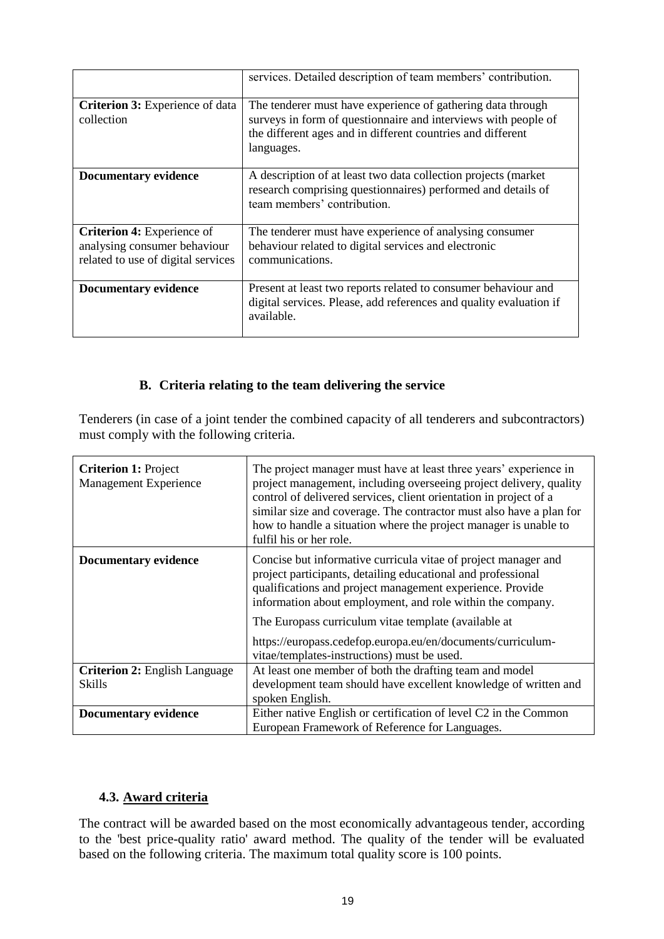|                                                                                                         | services. Detailed description of team members' contribution.                                                                                                                                              |  |  |  |  |
|---------------------------------------------------------------------------------------------------------|------------------------------------------------------------------------------------------------------------------------------------------------------------------------------------------------------------|--|--|--|--|
| Criterion 3: Experience of data<br>collection                                                           | The tenderer must have experience of gathering data through<br>surveys in form of questionnaire and interviews with people of<br>the different ages and in different countries and different<br>languages. |  |  |  |  |
| <b>Documentary evidence</b>                                                                             | A description of at least two data collection projects (market)<br>research comprising questionnaires) performed and details of<br>team members' contribution.                                             |  |  |  |  |
| <b>Criterion 4: Experience of</b><br>analysing consumer behaviour<br>related to use of digital services | The tenderer must have experience of analysing consumer<br>behaviour related to digital services and electronic<br>communications.                                                                         |  |  |  |  |
| Documentary evidence                                                                                    | Present at least two reports related to consumer behaviour and<br>digital services. Please, add references and quality evaluation if<br>available.                                                         |  |  |  |  |

#### **B. Criteria relating to the team delivering the service**

Tenderers (in case of a joint tender the combined capacity of all tenderers and subcontractors) must comply with the following criteria.

| <b>Criterion 1: Project</b><br>Management Experience | The project manager must have at least three years' experience in<br>project management, including overseeing project delivery, quality<br>control of delivered services, client orientation in project of a<br>similar size and coverage. The contractor must also have a plan for<br>how to handle a situation where the project manager is unable to<br>fulfil his or her role. |  |  |  |  |
|------------------------------------------------------|------------------------------------------------------------------------------------------------------------------------------------------------------------------------------------------------------------------------------------------------------------------------------------------------------------------------------------------------------------------------------------|--|--|--|--|
| <b>Documentary evidence</b>                          | Concise but informative curricula vitae of project manager and<br>project participants, detailing educational and professional<br>qualifications and project management experience. Provide<br>information about employment, and role within the company.                                                                                                                          |  |  |  |  |
|                                                      | The Europass curriculum vitae template (available at                                                                                                                                                                                                                                                                                                                               |  |  |  |  |
|                                                      | https://europass.cedefop.europa.eu/en/documents/curriculum-<br>vitae/templates-instructions) must be used.                                                                                                                                                                                                                                                                         |  |  |  |  |
| <b>Criterion 2: English Language</b>                 | At least one member of both the drafting team and model                                                                                                                                                                                                                                                                                                                            |  |  |  |  |
| <b>Skills</b>                                        | development team should have excellent knowledge of written and                                                                                                                                                                                                                                                                                                                    |  |  |  |  |
|                                                      | spoken English.                                                                                                                                                                                                                                                                                                                                                                    |  |  |  |  |
| <b>Documentary evidence</b>                          | Either native English or certification of level C2 in the Common                                                                                                                                                                                                                                                                                                                   |  |  |  |  |
|                                                      | European Framework of Reference for Languages.                                                                                                                                                                                                                                                                                                                                     |  |  |  |  |

# <span id="page-18-0"></span>**4.3. Award criteria**

The contract will be awarded based on the most economically advantageous tender, according to the 'best price-quality ratio' award method. The quality of the tender will be evaluated based on the following criteria. The maximum total quality score is 100 points.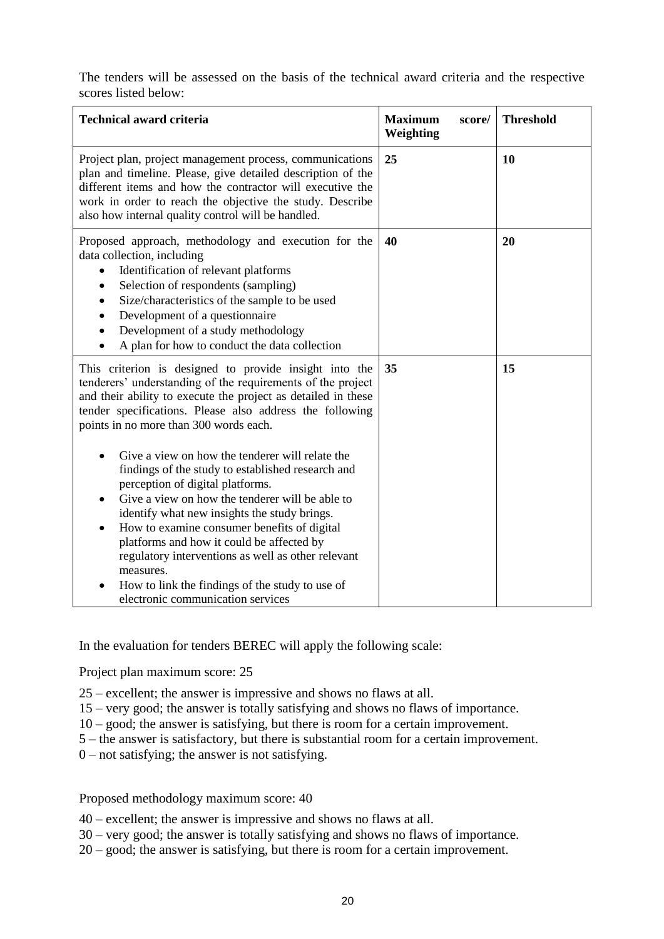The tenders will be assessed on the basis of the technical award criteria and the respective scores listed below:

| <b>Maximum</b><br>score/<br>Weighting | <b>Threshold</b> |
|---------------------------------------|------------------|
| 25                                    | 10               |
| 40                                    | 20               |
| 35                                    | 15               |
|                                       |                  |
|                                       |                  |

In the evaluation for tenders BEREC will apply the following scale:

Project plan maximum score: 25

25 – excellent; the answer is impressive and shows no flaws at all.

15 – very good; the answer is totally satisfying and shows no flaws of importance.

10 – good; the answer is satisfying, but there is room for a certain improvement.

5 – the answer is satisfactory, but there is substantial room for a certain improvement.

0 – not satisfying; the answer is not satisfying.

Proposed methodology maximum score: 40

40 – excellent; the answer is impressive and shows no flaws at all.

30 – very good; the answer is totally satisfying and shows no flaws of importance.

20 – good; the answer is satisfying, but there is room for a certain improvement.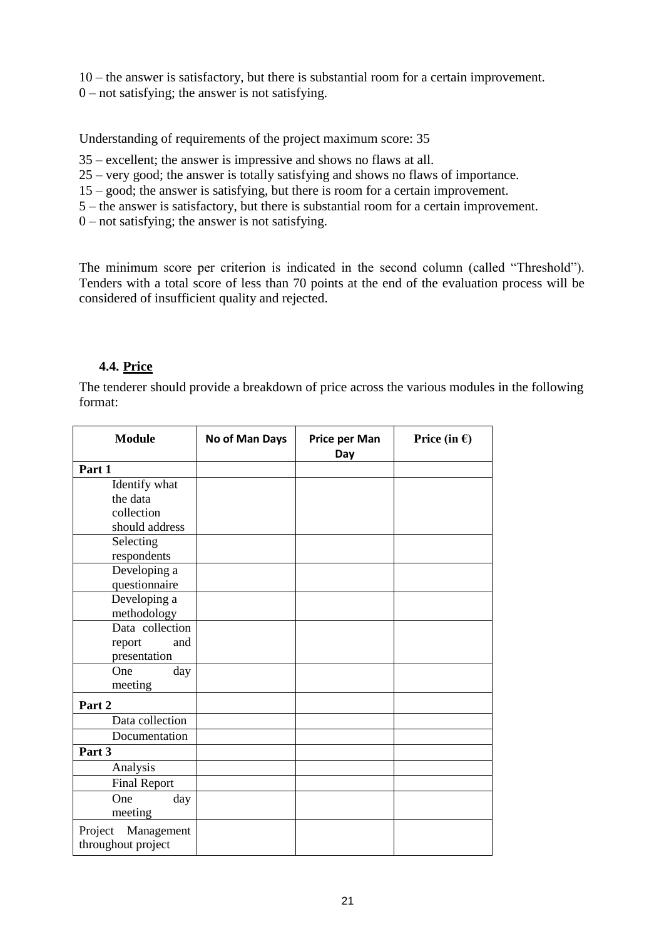10 – the answer is satisfactory, but there is substantial room for a certain improvement.

 $0$  – not satisfying; the answer is not satisfying.

Understanding of requirements of the project maximum score: 35

35 – excellent; the answer is impressive and shows no flaws at all.

25 – very good; the answer is totally satisfying and shows no flaws of importance.

15 – good; the answer is satisfying, but there is room for a certain improvement.

5 – the answer is satisfactory, but there is substantial room for a certain improvement.

 $0$  – not satisfying; the answer is not satisfying.

The minimum score per criterion is indicated in the second column (called "Threshold"). Tenders with a total score of less than 70 points at the end of the evaluation process will be considered of insufficient quality and rejected.

#### <span id="page-20-0"></span>**4.4. Price**

The tenderer should provide a breakdown of price across the various modules in the following format:

| <b>Module</b>         | No of Man Days | Price per Man<br>Day | Price (in $\epsilon$ ) |
|-----------------------|----------------|----------------------|------------------------|
| Part 1                |                |                      |                        |
| Identify what         |                |                      |                        |
| the data              |                |                      |                        |
| collection            |                |                      |                        |
| should address        |                |                      |                        |
| Selecting             |                |                      |                        |
| respondents           |                |                      |                        |
| Developing a          |                |                      |                        |
| questionnaire         |                |                      |                        |
| Developing a          |                |                      |                        |
| methodology           |                |                      |                        |
| Data collection       |                |                      |                        |
| and<br>report         |                |                      |                        |
| presentation          |                |                      |                        |
| One<br>day            |                |                      |                        |
| meeting               |                |                      |                        |
| Part 2                |                |                      |                        |
| Data collection       |                |                      |                        |
| Documentation         |                |                      |                        |
| Part 3                |                |                      |                        |
| Analysis              |                |                      |                        |
| <b>Final Report</b>   |                |                      |                        |
| One<br>day            |                |                      |                        |
| meeting               |                |                      |                        |
| Management<br>Project |                |                      |                        |
| throughout project    |                |                      |                        |